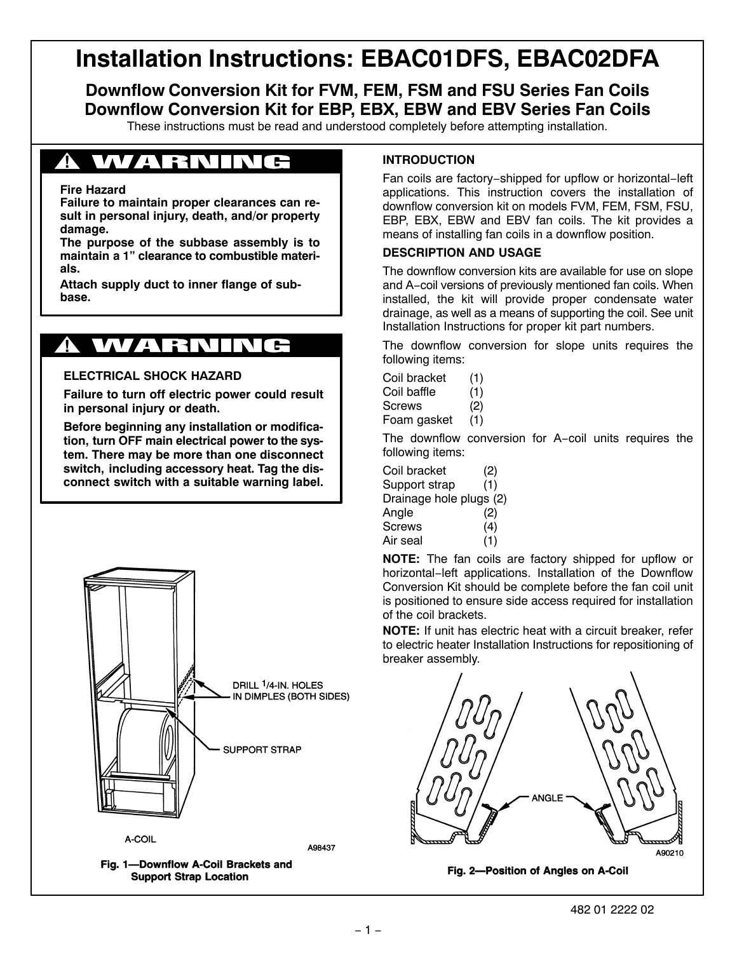# **Installation Instructions: EBAC01DFS, EBAC02DFA**

**Downflow Conversion Kit for FVM, FEM, FSM and FSU Series Fan Coils Downflow Conversion Kit for EBP, EBX, EBW and EBV Series Fan Coils**

These instructions must be read and understood completely before attempting installation.

## *A WARNING*

#### **Fire Hazard**

**Failure to maintain proper clearances can result in personal injury, death, and/or property damage.**

**The purpose of the subbase assembly is to maintain a 1" clearance to combustible materials.**

**Attach supply duct to inner flange of subbase.**

#### WARN **!**

#### **ELECTRICAL SHOCK HAZARD**

**Failure to turn off electric power could result in personal injury or death.**

**Before beginning any installation or modification, turn OFF main electrical power to the system. There may be more than one disconnect switch, including accessory heat. Tag the disconnect switch with a suitable warning label.**



Fig. 1-Downflow A-Coil Brackets and **Support Strap Location** 

### **INTRODUCTION**

Fan coils are factory−shipped for upflow or horizontal−left applications. This instruction covers the installation of downflow conversion kit on models FVM, FEM, FSM, FSU, EBP, EBX, EBW and EBV fan coils. The kit provides a means of installing fan coils in a downflow position.

#### **DESCRIPTION AND USAGE**

The downflow conversion kits are available for use on slope and A−coil versions of previously mentioned fan coils. When installed, the kit will provide proper condensate water drainage, as well as a means of supporting the coil. See unit Installation Instructions for proper kit part numbers.

The downflow conversion for slope units requires the following items:

- Coil bracket (1)
- Coil baffle (1)

Screws (2)

Foam gasket (1)

The downflow conversion for A−coil units requires the following items:

| Coil bracket            | (2) |
|-------------------------|-----|
| Support strap           | (1) |
| Drainage hole plugs (2) |     |
| Angle                   | (2) |
| Screws                  | (4) |
| Air seal                | (1) |

**NOTE:** The fan coils are factory shipped for upflow or horizontal−left applications. Installation of the Downflow Conversion Kit should be complete before the fan coil unit is positioned to ensure side access required for installation of the coil brackets.

**NOTE:** If unit has electric heat with a circuit breaker, refer to electric heater Installation Instructions for repositioning of breaker assembly.



Fig. 2-Position of Angles on A-Coil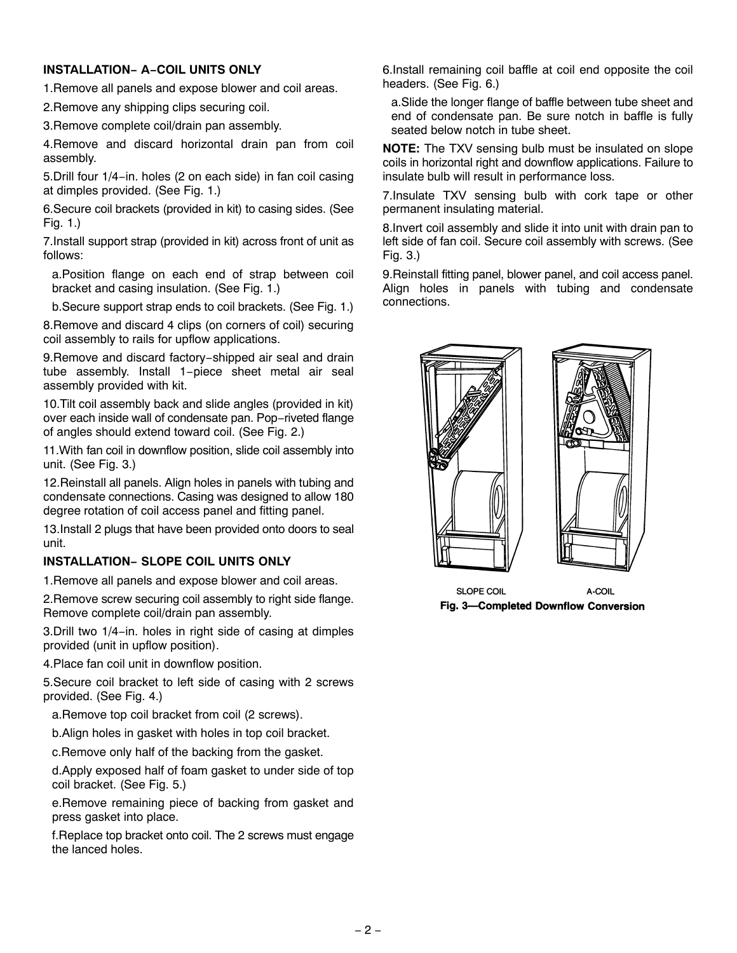### **INSTALLATION− A−COIL UNITS ONLY**

1.Remove all panels and expose blower and coil areas.

2.Remove any shipping clips securing coil.

3.Remove complete coil/drain pan assembly.

4.Remove and discard horizontal drain pan from coil assembly.

5.Drill four 1/4−in. holes (2 on each side) in fan coil casing at dimples provided. (See Fig. 1.)

6.Secure coil brackets (provided in kit) to casing sides. (See Fig. 1.)

7.Install support strap (provided in kit) across front of unit as follows:

a.Position flange on each end of strap between coil bracket and casing insulation. (See Fig. 1.)

b.Secure support strap ends to coil brackets. (See Fig. 1.)

8.Remove and discard 4 clips (on corners of coil) securing coil assembly to rails for upflow applications.

9. Remove and discard factory-shipped air seal and drain tube assembly. Install 1−piece sheet metal air seal assembly provided with kit.

10.Tilt coil assembly back and slide angles (provided in kit) over each inside wall of condensate pan. Pop−riveted flange of angles should extend toward coil. (See Fig. 2.)

11.With fan coil in downflow position, slide coil assembly into unit. (See Fig. 3.)

12.Reinstall all panels. Align holes in panels with tubing and condensate connections. Casing was designed to allow 180 degree rotation of coil access panel and fitting panel.

13.Install 2 plugs that have been provided onto doors to seal unit.

#### **INSTALLATION− SLOPE COIL UNITS ONLY**

1.Remove all panels and expose blower and coil areas.

2.Remove screw securing coil assembly to right side flange. Remove complete coil/drain pan assembly.

3.Drill two 1/4−in. holes in right side of casing at dimples provided (unit in upflow position).

4.Place fan coil unit in downflow position.

5.Secure coil bracket to left side of casing with 2 screws provided. (See Fig. 4.)

a.Remove top coil bracket from coil (2 screws).

b.Align holes in gasket with holes in top coil bracket.

c.Remove only half of the backing from the gasket.

d.Apply exposed half of foam gasket to under side of top coil bracket. (See Fig. 5.)

e.Remove remaining piece of backing from gasket and press gasket into place.

f.Replace top bracket onto coil. The 2 screws must engage the lanced holes.

6.Install remaining coil baffle at coil end opposite the coil headers. (See Fig. 6.)

a.Slide the longer flange of baffle between tube sheet and end of condensate pan. Be sure notch in baffle is fully seated below notch in tube sheet.

**NOTE:** The TXV sensing bulb must be insulated on slope coils in horizontal right and downflow applications. Failure to insulate bulb will result in performance loss.

7.Insulate TXV sensing bulb with cork tape or other permanent insulating material.

8.Invert coil assembly and slide it into unit with drain pan to left side of fan coil. Secure coil assembly with screws. (See Fig. 3.)

9.Reinstall fitting panel, blower panel, and coil access panel. Align holes in panels with tubing and condensate connections.



**SLOPE COIL** A-COIL Fig. 3-Completed Downflow Conversion